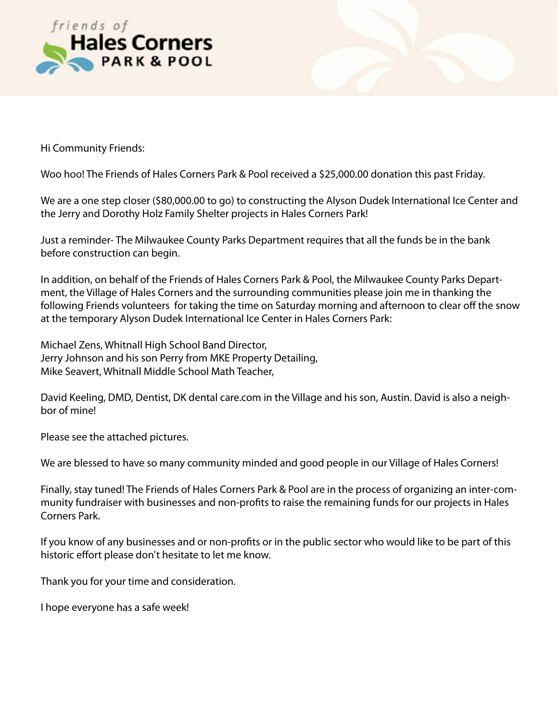

Hi Community Friends:

Woo hoo! The Friends of Hales Corners Park & Pool received a \$25,000.00 donation this past Friday.

We are a one step closer (\$80,000.00 to go) to constructing the Alyson Dudek International Ice Center and the Jerry and Dorothy Holz Family Shelter projects in Hales Corners Park!

Just a reminder- The Milwaukee County Parks Department requires that all the funds be in the bank before construction can begin.

In addition, on behalf of the Friends of Hales Corners Park & Pool, the Milwaukee County Parks Department, the Village of Hales Corners and the surrounding communities please join me in thanking the following Friends volunteers for taking the time on Saturday morning and afternoon to clear off the snow at the temporary Alyson Dudek International Ice Center in Hales Corners Park:

Michael Zens, Whitnall High School Band Director, Jerry Johnson and his son Perry from MKE Property Detailing, Mike Seavert, Whitnall Middle School Math Teacher,

David Keeling, DMD, Dentist, DK dental care.com in the Village and his son, Austin. David is also a neighbor of mine!

Please see the attached pictures.

We are blessed to have so many community minded and good people in our Village of Hales Corners!

Finally, stay tuned! The Friends of Hales Corners Park & Pool are in the process of organizing an inter-community fundraiser with businesses and non-profits to raise the remaining funds for our projects in Hales Corners Park.

If you know of any businesses and or non-profits or in the public sector who would like to be part of this historic effort please don't hesitate to let me know.

Thank you for your time and consideration.

I hope everyone has a safe week!